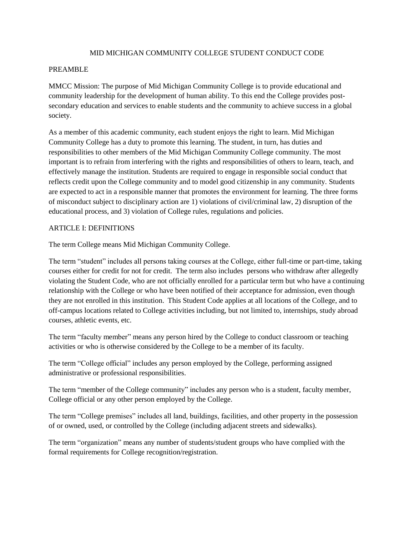### MID MICHIGAN COMMUNITY COLLEGE STUDENT CONDUCT CODE

### PREAMBLE

MMCC Mission: The purpose of Mid Michigan Community College is to provide educational and community leadership for the development of human ability. To this end the College provides postsecondary education and services to enable students and the community to achieve success in a global society.

As a member of this academic community, each student enjoys the right to learn. Mid Michigan Community College has a duty to promote this learning. The student, in turn, has duties and responsibilities to other members of the Mid Michigan Community College community. The most important is to refrain from interfering with the rights and responsibilities of others to learn, teach, and effectively manage the institution. Students are required to engage in responsible social conduct that reflects credit upon the College community and to model good citizenship in any community. Students are expected to act in a responsible manner that promotes the environment for learning. The three forms of misconduct subject to disciplinary action are 1) violations of civil/criminal law, 2) disruption of the educational process, and 3) violation of College rules, regulations and policies.

### ARTICLE I: DEFINITIONS

The term College means Mid Michigan Community College.

The term "student" includes all persons taking courses at the College, either full-time or part-time, taking courses either for credit for not for credit. The term also includes persons who withdraw after allegedly violating the Student Code, who are not officially enrolled for a particular term but who have a continuing relationship with the College or who have been notified of their acceptance for admission, even though they are not enrolled in this institution. This Student Code applies at all locations of the College, and to off-campus locations related to College activities including, but not limited to, internships, study abroad courses, athletic events, etc.

The term "faculty member" means any person hired by the College to conduct classroom or teaching activities or who is otherwise considered by the College to be a member of its faculty.

The term "College official" includes any person employed by the College, performing assigned administrative or professional responsibilities.

The term "member of the College community" includes any person who is a student, faculty member, College official or any other person employed by the College.

The term "College premises" includes all land, buildings, facilities, and other property in the possession of or owned, used, or controlled by the College (including adjacent streets and sidewalks).

The term "organization" means any number of students/student groups who have complied with the formal requirements for College recognition/registration.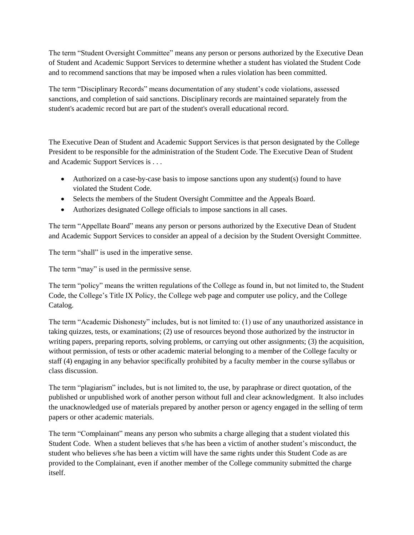The term "Student Oversight Committee" means any person or persons authorized by the Executive Dean of Student and Academic Support Services to determine whether a student has violated the Student Code and to recommend sanctions that may be imposed when a rules violation has been committed.

The term "Disciplinary Records" means documentation of any student's code violations, assessed sanctions, and completion of said sanctions. Disciplinary records are maintained separately from the student's academic record but are part of the student's overall educational record.

The Executive Dean of Student and Academic Support Services is that person designated by the College President to be responsible for the administration of the Student Code. The Executive Dean of Student and Academic Support Services is . . .

- Authorized on a case-by-case basis to impose sanctions upon any student(s) found to have violated the Student Code.
- Selects the members of the Student Oversight Committee and the Appeals Board.
- Authorizes designated College officials to impose sanctions in all cases.

The term "Appellate Board" means any person or persons authorized by the Executive Dean of Student and Academic Support Services to consider an appeal of a decision by the Student Oversight Committee.

The term "shall" is used in the imperative sense.

The term "may" is used in the permissive sense.

The term "policy" means the written regulations of the College as found in, but not limited to, the Student Code, the College's Title IX Policy, the College web page and computer use policy, and the College Catalog.

The term "Academic Dishonesty" includes, but is not limited to: (1) use of any unauthorized assistance in taking quizzes, tests, or examinations; (2) use of resources beyond those authorized by the instructor in writing papers, preparing reports, solving problems, or carrying out other assignments; (3) the acquisition, without permission, of tests or other academic material belonging to a member of the College faculty or staff (4) engaging in any behavior specifically prohibited by a faculty member in the course syllabus or class discussion.

The term "plagiarism" includes, but is not limited to, the use, by paraphrase or direct quotation, of the published or unpublished work of another person without full and clear acknowledgment. It also includes the unacknowledged use of materials prepared by another person or agency engaged in the selling of term papers or other academic materials.

The term "Complainant" means any person who submits a charge alleging that a student violated this Student Code. When a student believes that s/he has been a victim of another student's misconduct, the student who believes s/he has been a victim will have the same rights under this Student Code as are provided to the Complainant, even if another member of the College community submitted the charge itself.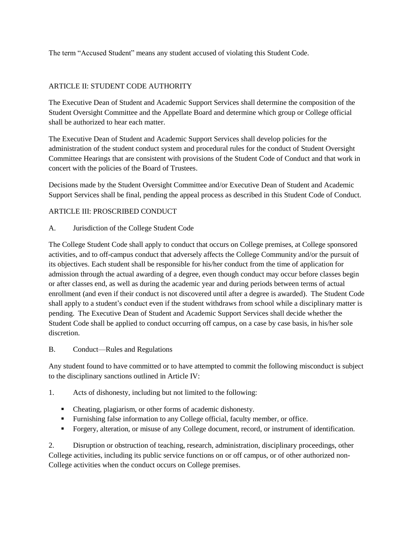The term "Accused Student" means any student accused of violating this Student Code.

# ARTICLE II: STUDENT CODE AUTHORITY

The Executive Dean of Student and Academic Support Services shall determine the composition of the Student Oversight Committee and the Appellate Board and determine which group or College official shall be authorized to hear each matter.

The Executive Dean of Student and Academic Support Services shall develop policies for the administration of the student conduct system and procedural rules for the conduct of Student Oversight Committee Hearings that are consistent with provisions of the Student Code of Conduct and that work in concert with the policies of the Board of Trustees.

Decisions made by the Student Oversight Committee and/or Executive Dean of Student and Academic Support Services shall be final, pending the appeal process as described in this Student Code of Conduct.

# ARTICLE III: PROSCRIBED CONDUCT

# A. Jurisdiction of the College Student Code

The College Student Code shall apply to conduct that occurs on College premises, at College sponsored activities, and to off-campus conduct that adversely affects the College Community and/or the pursuit of its objectives. Each student shall be responsible for his/her conduct from the time of application for admission through the actual awarding of a degree, even though conduct may occur before classes begin or after classes end, as well as during the academic year and during periods between terms of actual enrollment (and even if their conduct is not discovered until after a degree is awarded). The Student Code shall apply to a student's conduct even if the student withdraws from school while a disciplinary matter is pending. The Executive Dean of Student and Academic Support Services shall decide whether the Student Code shall be applied to conduct occurring off campus, on a case by case basis, in his/her sole discretion.

# B. Conduct—Rules and Regulations

Any student found to have committed or to have attempted to commit the following misconduct is subject to the disciplinary sanctions outlined in Article IV:

# 1. Acts of dishonesty, including but not limited to the following:

- Cheating, plagiarism, or other forms of academic dishonesty.
- Furnishing false information to any College official, faculty member, or office.
- Forgery, alteration, or misuse of any College document, record, or instrument of identification.

2. Disruption or obstruction of teaching, research, administration, disciplinary proceedings, other College activities, including its public service functions on or off campus, or of other authorized non-College activities when the conduct occurs on College premises.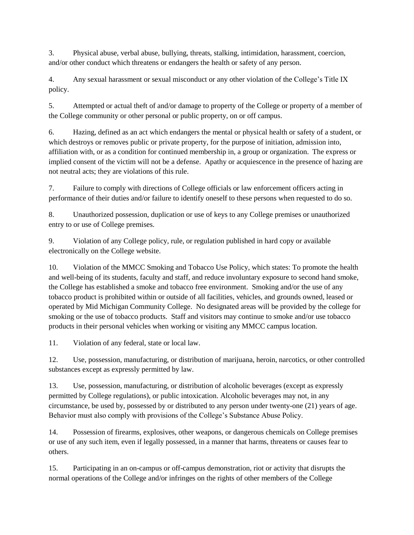3. Physical abuse, verbal abuse, bullying, threats, stalking, intimidation, harassment, coercion, and/or other conduct which threatens or endangers the health or safety of any person.

4. Any sexual harassment or sexual misconduct or any other violation of the College's Title IX policy.

5. Attempted or actual theft of and/or damage to property of the College or property of a member of the College community or other personal or public property, on or off campus.

6. Hazing, defined as an act which endangers the mental or physical health or safety of a student, or which destroys or removes public or private property, for the purpose of initiation, admission into, affiliation with, or as a condition for continued membership in, a group or organization. The express or implied consent of the victim will not be a defense. Apathy or acquiescence in the presence of hazing are not neutral acts; they are violations of this rule.

7. Failure to comply with directions of College officials or law enforcement officers acting in performance of their duties and/or failure to identify oneself to these persons when requested to do so.

8. Unauthorized possession, duplication or use of keys to any College premises or unauthorized entry to or use of College premises.

9. Violation of any College policy, rule, or regulation published in hard copy or available electronically on the College website.

10. Violation of the MMCC Smoking and Tobacco Use Policy, which states: To promote the health and well-being of its students, faculty and staff, and reduce involuntary exposure to second hand smoke, the College has established a smoke and tobacco free environment. Smoking and/or the use of any tobacco product is prohibited within or outside of all facilities, vehicles, and grounds owned, leased or operated by Mid Michigan Community College. No designated areas will be provided by the college for smoking or the use of tobacco products. Staff and visitors may continue to smoke and/or use tobacco products in their personal vehicles when working or visiting any MMCC campus location.

11. Violation of any federal, state or local law.

12. Use, possession, manufacturing, or distribution of marijuana, heroin, narcotics, or other controlled substances except as expressly permitted by law.

13. Use, possession, manufacturing, or distribution of alcoholic beverages (except as expressly permitted by College regulations), or public intoxication. Alcoholic beverages may not, in any circumstance, be used by, possessed by or distributed to any person under twenty-one (21) years of age. Behavior must also comply with provisions of the College's Substance Abuse Policy.

14. Possession of firearms, explosives, other weapons, or dangerous chemicals on College premises or use of any such item, even if legally possessed, in a manner that harms, threatens or causes fear to others.

15. Participating in an on-campus or off-campus demonstration, riot or activity that disrupts the normal operations of the College and/or infringes on the rights of other members of the College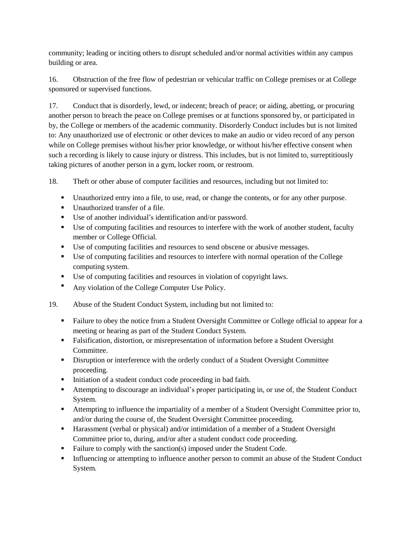community; leading or inciting others to disrupt scheduled and/or normal activities within any campus building or area.

16. Obstruction of the free flow of pedestrian or vehicular traffic on College premises or at College sponsored or supervised functions.

17. Conduct that is disorderly, lewd, or indecent; breach of peace; or aiding, abetting, or procuring another person to breach the peace on College premises or at functions sponsored by, or participated in by, the College or members of the academic community. Disorderly Conduct includes but is not limited to: Any unauthorized use of electronic or other devices to make an audio or video record of any person while on College premises without his/her prior knowledge, or without his/her effective consent when such a recording is likely to cause injury or distress. This includes, but is not limited to, surreptitiously taking pictures of another person in a gym, locker room, or restroom.

18. Theft or other abuse of computer facilities and resources, including but not limited to:

- Unauthorized entry into a file, to use, read, or change the contents, or for any other purpose.
- Unauthorized transfer of a file.
- Use of another individual's identification and/or password.
- Use of computing facilities and resources to interfere with the work of another student, faculty member or College Official.
- Use of computing facilities and resources to send obscene or abusive messages.
- Use of computing facilities and resources to interfere with normal operation of the College computing system.
- Use of computing facilities and resources in violation of copyright laws.
- Any violation of the College Computer Use Policy.
- 19. Abuse of the Student Conduct System, including but not limited to:
	- Failure to obey the notice from a Student Oversight Committee or College official to appear for a meeting or hearing as part of the Student Conduct System.
	- Falsification, distortion, or misrepresentation of information before a Student Oversight Committee.
	- **Disruption or interference with the orderly conduct of a Student Oversight Committee** proceeding.
	- Initiation of a student conduct code proceeding in bad faith.
	- Attempting to discourage an individual's proper participating in, or use of, the Student Conduct System.
	- Attempting to influence the impartiality of a member of a Student Oversight Committee prior to, and/or during the course of, the Student Oversight Committee proceeding.
	- Harassment (verbal or physical) and/or intimidation of a member of a Student Oversight Committee prior to, during, and/or after a student conduct code proceeding.
	- Failure to comply with the sanction(s) imposed under the Student Code.
	- Influencing or attempting to influence another person to commit an abuse of the Student Conduct System.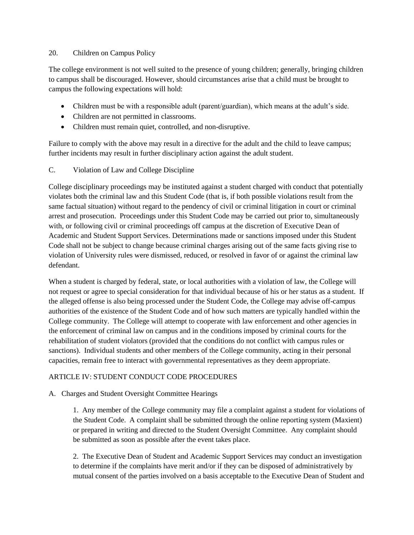### 20. Children on Campus Policy

The college environment is not well suited to the presence of young children; generally, bringing children to campus shall be discouraged. However, should circumstances arise that a child must be brought to campus the following expectations will hold:

- Children must be with a responsible adult (parent/guardian), which means at the adult's side.
- Children are not permitted in classrooms.
- Children must remain quiet, controlled, and non-disruptive.

Failure to comply with the above may result in a directive for the adult and the child to leave campus; further incidents may result in further disciplinary action against the adult student.

C. Violation of Law and College Discipline

College disciplinary proceedings may be instituted against a student charged with conduct that potentially violates both the criminal law and this Student Code (that is, if both possible violations result from the same factual situation) without regard to the pendency of civil or criminal litigation in court or criminal arrest and prosecution. Proceedings under this Student Code may be carried out prior to, simultaneously with, or following civil or criminal proceedings off campus at the discretion of Executive Dean of Academic and Student Support Services. Determinations made or sanctions imposed under this Student Code shall not be subject to change because criminal charges arising out of the same facts giving rise to violation of University rules were dismissed, reduced, or resolved in favor of or against the criminal law defendant.

When a student is charged by federal, state, or local authorities with a violation of law, the College will not request or agree to special consideration for that individual because of his or her status as a student. If the alleged offense is also being processed under the Student Code, the College may advise off-campus authorities of the existence of the Student Code and of how such matters are typically handled within the College community. The College will attempt to cooperate with law enforcement and other agencies in the enforcement of criminal law on campus and in the conditions imposed by criminal courts for the rehabilitation of student violators (provided that the conditions do not conflict with campus rules or sanctions). Individual students and other members of the College community, acting in their personal capacities, remain free to interact with governmental representatives as they deem appropriate.

# ARTICLE IV: STUDENT CONDUCT CODE PROCEDURES

### A. Charges and Student Oversight Committee Hearings

1. Any member of the College community may file a complaint against a student for violations of the Student Code. A complaint shall be submitted through the online reporting system (Maxient) or prepared in writing and directed to the Student Oversight Committee. Any complaint should be submitted as soon as possible after the event takes place.

2. The Executive Dean of Student and Academic Support Services may conduct an investigation to determine if the complaints have merit and/or if they can be disposed of administratively by mutual consent of the parties involved on a basis acceptable to the Executive Dean of Student and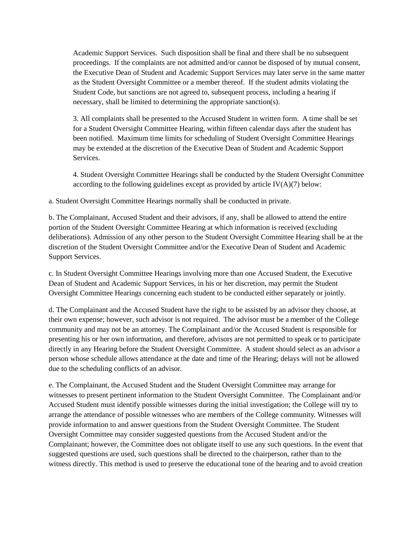Academic Support Services. Such disposition shall be final and there shall be no subsequent proceedings. If the complaints are not admitted and/or cannot be disposed of by mutual consent, the Executive Dean of Student and Academic Support Services may later serve in the same matter as the Student Oversight Committee or a member thereof. If the student admits violating the Student Code, but sanctions are not agreed to, subsequent process, including a hearing if necessary, shall be limited to determining the appropriate sanction(s).

3. All complaints shall be presented to the Accused Student in written form. A time shall be set for a Student Oversight Committee Hearing, within fifteen calendar days after the student has been notified. Maximum time limits for scheduling of Student Oversight Committee Hearings may be extended at the discretion of the Executive Dean of Student and Academic Support Services.

4. Student Oversight Committee Hearings shall be conducted by the Student Oversight Committee according to the following guidelines except as provided by article IV(A)(7) below:

a. Student Oversight Committee Hearings normally shall be conducted in private.

b. The Complainant, Accused Student and their advisors, if any, shall be allowed to attend the entire portion of the Student Oversight Committee Hearing at which information is received (excluding deliberations). Admission of any other person to the Student Oversight Committee Hearing shall be at the discretion of the Student Oversight Committee and/or the Executive Dean of Student and Academic Support Services.

c. In Student Oversight Committee Hearings involving more than one Accused Student, the Executive Dean of Student and Academic Support Services, in his or her discretion, may permit the Student Oversight Committee Hearings concerning each student to be conducted either separately or jointly.

d. The Complainant and the Accused Student have the right to be assisted by an advisor they choose, at their own expense; however, such advisor is not required. The advisor must be a member of the College community and may not be an attorney. The Complainant and/or the Accused Student is responsible for presenting his or her own information, and therefore, advisors are not permitted to speak or to participate directly in any Hearing before the Student Oversight Committee. A student should select as an advisor a person whose schedule allows attendance at the date and time of the Hearing; delays will not be allowed due to the scheduling conflicts of an advisor.

e. The Complainant, the Accused Student and the Student Oversight Committee may arrange for witnesses to present pertinent information to the Student Oversight Committee. The Complainant and/or Accused Student must identify possible witnesses during the initial investigation; the College will try to arrange the attendance of possible witnesses who are members of the College community. Witnesses will provide information to and answer questions from the Student Oversight Committee. The Student Oversight Committee may consider suggested questions from the Accused Student and/or the Complainant; however, the Committee does not obligate itself to use any such questions. In the event that suggested questions are used, such questions shall be directed to the chairperson, rather than to the witness directly. This method is used to preserve the educational tone of the hearing and to avoid creation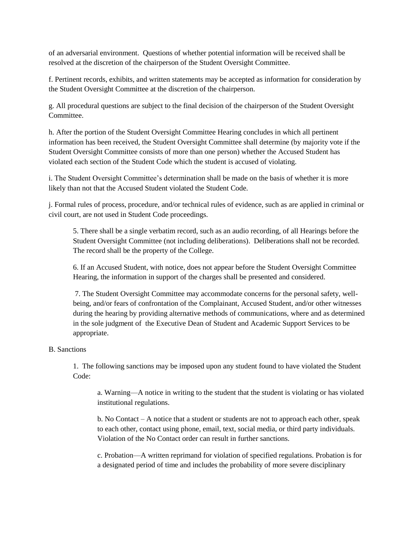of an adversarial environment. Questions of whether potential information will be received shall be resolved at the discretion of the chairperson of the Student Oversight Committee.

f. Pertinent records, exhibits, and written statements may be accepted as information for consideration by the Student Oversight Committee at the discretion of the chairperson.

g. All procedural questions are subject to the final decision of the chairperson of the Student Oversight Committee.

h. After the portion of the Student Oversight Committee Hearing concludes in which all pertinent information has been received, the Student Oversight Committee shall determine (by majority vote if the Student Oversight Committee consists of more than one person) whether the Accused Student has violated each section of the Student Code which the student is accused of violating.

i. The Student Oversight Committee's determination shall be made on the basis of whether it is more likely than not that the Accused Student violated the Student Code.

j. Formal rules of process, procedure, and/or technical rules of evidence, such as are applied in criminal or civil court, are not used in Student Code proceedings.

5. There shall be a single verbatim record, such as an audio recording, of all Hearings before the Student Oversight Committee (not including deliberations). Deliberations shall not be recorded. The record shall be the property of the College.

6. If an Accused Student, with notice, does not appear before the Student Oversight Committee Hearing, the information in support of the charges shall be presented and considered.

7. The Student Oversight Committee may accommodate concerns for the personal safety, wellbeing, and/or fears of confrontation of the Complainant, Accused Student, and/or other witnesses during the hearing by providing alternative methods of communications, where and as determined in the sole judgment of the Executive Dean of Student and Academic Support Services to be appropriate.

### B. Sanctions

1. The following sanctions may be imposed upon any student found to have violated the Student Code:

a. Warning—A notice in writing to the student that the student is violating or has violated institutional regulations.

b. No Contact – A notice that a student or students are not to approach each other, speak to each other, contact using phone, email, text, social media, or third party individuals. Violation of the No Contact order can result in further sanctions.

c. Probation—A written reprimand for violation of specified regulations. Probation is for a designated period of time and includes the probability of more severe disciplinary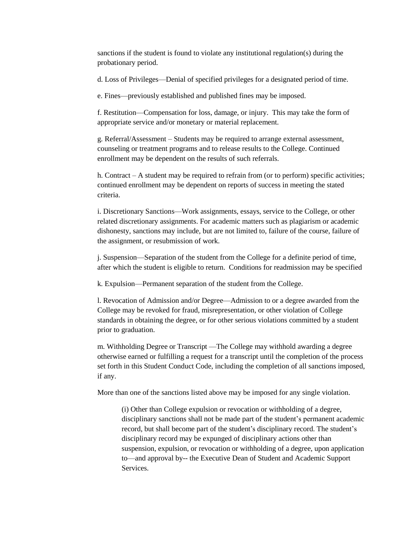sanctions if the student is found to violate any institutional regulation(s) during the probationary period.

d. Loss of Privileges—Denial of specified privileges for a designated period of time.

e. Fines—previously established and published fines may be imposed.

f. Restitution—Compensation for loss, damage, or injury. This may take the form of appropriate service and/or monetary or material replacement.

g. Referral/Assessment – Students may be required to arrange external assessment, counseling or treatment programs and to release results to the College. Continued enrollment may be dependent on the results of such referrals.

h. Contract – A student may be required to refrain from (or to perform) specific activities; continued enrollment may be dependent on reports of success in meeting the stated criteria.

i. Discretionary Sanctions—Work assignments, essays, service to the College, or other related discretionary assignments. For academic matters such as plagiarism or academic dishonesty, sanctions may include, but are not limited to, failure of the course, failure of the assignment, or resubmission of work.

j. Suspension—Separation of the student from the College for a definite period of time, after which the student is eligible to return. Conditions for readmission may be specified

k. Expulsion—Permanent separation of the student from the College.

l. Revocation of Admission and/or Degree—Admission to or a degree awarded from the College may be revoked for fraud, misrepresentation, or other violation of College standards in obtaining the degree, or for other serious violations committed by a student prior to graduation.

m. Withholding Degree or Transcript —The College may withhold awarding a degree otherwise earned or fulfilling a request for a transcript until the completion of the process set forth in this Student Conduct Code, including the completion of all sanctions imposed, if any.

More than one of the sanctions listed above may be imposed for any single violation.

(i) Other than College expulsion or revocation or withholding of a degree, disciplinary sanctions shall not be made part of the student's permanent academic record, but shall become part of the student's disciplinary record. The student's disciplinary record may be expunged of disciplinary actions other than suspension, expulsion, or revocation or withholding of a degree, upon application to—and approval by-- the Executive Dean of Student and Academic Support Services.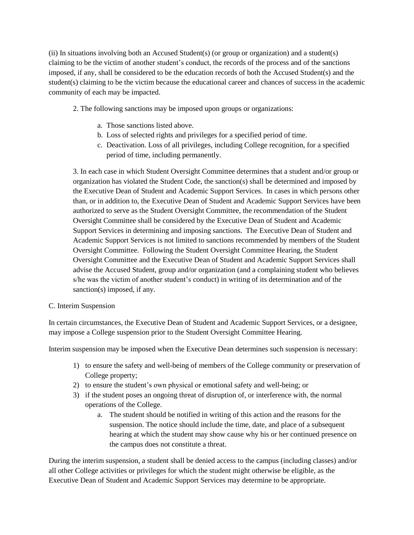(ii) In situations involving both an Accused Student(s) (or group or organization) and a student(s) claiming to be the victim of another student's conduct, the records of the process and of the sanctions imposed, if any, shall be considered to be the education records of both the Accused Student(s) and the student(s) claiming to be the victim because the educational career and chances of success in the academic community of each may be impacted.

2. The following sanctions may be imposed upon groups or organizations:

- a. Those sanctions listed above.
- b. Loss of selected rights and privileges for a specified period of time.
- c. Deactivation. Loss of all privileges, including College recognition, for a specified period of time, including permanently.

3. In each case in which Student Oversight Committee determines that a student and/or group or organization has violated the Student Code, the sanction(s) shall be determined and imposed by the Executive Dean of Student and Academic Support Services. In cases in which persons other than, or in addition to, the Executive Dean of Student and Academic Support Services have been authorized to serve as the Student Oversight Committee, the recommendation of the Student Oversight Committee shall be considered by the Executive Dean of Student and Academic Support Services in determining and imposing sanctions. The Executive Dean of Student and Academic Support Services is not limited to sanctions recommended by members of the Student Oversight Committee. Following the Student Oversight Committee Hearing, the Student Oversight Committee and the Executive Dean of Student and Academic Support Services shall advise the Accused Student, group and/or organization (and a complaining student who believes s/he was the victim of another student's conduct) in writing of its determination and of the sanction(s) imposed, if any.

# C. Interim Suspension

In certain circumstances, the Executive Dean of Student and Academic Support Services, or a designee, may impose a College suspension prior to the Student Oversight Committee Hearing.

Interim suspension may be imposed when the Executive Dean determines such suspension is necessary:

- 1) to ensure the safety and well-being of members of the College community or preservation of College property;
- 2) to ensure the student's own physical or emotional safety and well-being; or
- 3) if the student poses an ongoing threat of disruption of, or interference with, the normal operations of the College.
	- a. The student should be notified in writing of this action and the reasons for the suspension. The notice should include the time, date, and place of a subsequent hearing at which the student may show cause why his or her continued presence on the campus does not constitute a threat.

During the interim suspension, a student shall be denied access to the campus (including classes) and/or all other College activities or privileges for which the student might otherwise be eligible, as the Executive Dean of Student and Academic Support Services may determine to be appropriate.